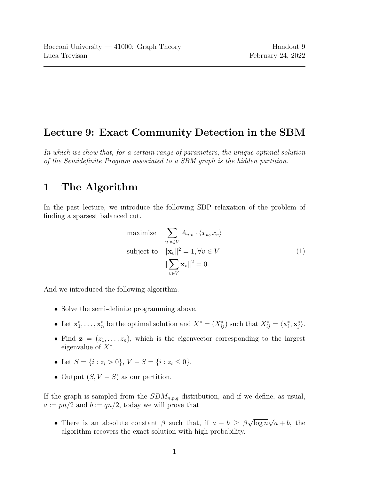## Lecture 9: Exact Community Detection in the SBM

In which we show that, for a certain range of parameters, the unique optimal solution of the Semidefinite Program associated to a SBM graph is the hidden partition.

# 1 The Algorithm

In the past lecture, we introduce the following SDP relaxation of the problem of finding a sparsest balanced cut.

<span id="page-0-0"></span>maximize 
$$
\sum_{u,v \in V} A_{u,v} \cdot \langle x_u, x_v \rangle
$$
  
subject to 
$$
\|\mathbf{x}_v\|^2 = 1, \forall v \in V
$$

$$
\|\sum_{v \in V} \mathbf{x}_v\|^2 = 0.
$$
 (1)

And we introduced the following algorithm.

- Solve the semi-definite programming above.
- Let  $\mathbf{x}_1^*, \ldots, \mathbf{x}_n^*$  be the optimal solution and  $X^* = (X_{ij}^*)$  such that  $X_{ij}^* = \langle \mathbf{x}_i^*, \mathbf{x}_j^* \rangle$ .
- Find  $z = (z_1, \ldots, z_n)$ , which is the eigenvector corresponding to the largest eigenvalue of  $X^*$ .
- Let  $S = \{i : z_i > 0\}$ ,  $V S = \{i : z_i \le 0\}$ .
- Output  $(S, V S)$  as our partition.

If the graph is sampled from the  $SBM_{n,p,q}$  distribution, and if we define, as usual,  $a := pn/2$  and  $b := qp/2$ , today we will prove that

• There is an absolute constant  $\beta$  such that, if  $a - b \geq \beta$ √  $\overline{\log n}$ √  $a + b$ , the algorithm recovers the exact solution with high probability.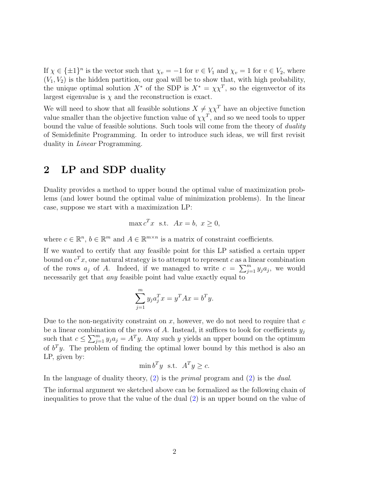If  $\chi \in {\pm 1}^n$  is the vector such that  $\chi_v = -1$  for  $v \in V_1$  and  $\chi_v = 1$  for  $v \in V_2$ , where  $(V_1, V_2)$  is the hidden partition, our goal will be to show that, with high probability, the unique optimal solution  $X^*$  of the SDP is  $X^* = \chi \chi^T$ , so the eigenvector of its largest eigenvalue is  $\chi$  and the reconstruction is exact.

We will need to show that all feasible solutions  $X \neq \chi \chi^T$  have an objective function value smaller than the objective function value of  $\chi \chi^T$ , and so we need tools to upper bound the value of feasible solutions. Such tools will come from the theory of *duality* of Semidefinite Programming. In order to introduce such ideas, we will first revisit duality in Linear Programming.

## <span id="page-1-0"></span>2 LP and SDP duality

Duality provides a method to upper bound the optimal value of maximization problems (and lower bound the optimal value of minimization problems). In the linear case, suppose we start with a maximization LP:

$$
\max c^T x \text{ s.t. } Ax = b, x \ge 0,
$$

where  $c \in \mathbb{R}^n$ ,  $b \in \mathbb{R}^m$  and  $A \in \mathbb{R}^{m \times n}$  is a matrix of constraint coefficients.

If we wanted to certify that any feasible point for this LP satisfied a certain upper bound on  $c^T x$ , one natural strategy is to attempt to represent c as a linear combination of the rows  $a_j$  of A. Indeed, if we managed to write  $c = \sum_{j=1}^m y_j a_j$ , we would necessarily get that *any* feasible point had value exactly equal to

$$
\sum_{j=1}^{m} y_j a_j^T x = y^T A x = b^T y.
$$

Due to the non-negativity constraint on  $x$ , however, we do not need to require that  $c$ be a linear combination of the rows of A. Instead, it suffices to look for coefficients  $y_i$ such that  $c \le \sum_{j=1}^m y_j a_j = A^T y$ . Any such y yields an upper bound on the optimum of  $b<sup>T</sup>y$ . The problem of finding the optimal lower bound by this method is also an LP, given by:

$$
\min b^T y \quad \text{s.t.} \quad A^T y \ge c.
$$

In the language of duality theory, [\(2\)](#page-1-0) is the *primal* program and (2) is the *dual*.

The informal argument we sketched above can be formalized as the following chain of inequalities to prove that the value of the dual [\(2\)](#page-1-0) is an upper bound on the value of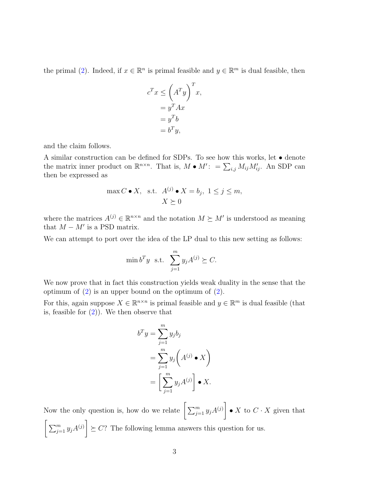the primal [\(2\)](#page-1-0). Indeed, if  $x \in \mathbb{R}^n$  is primal feasible and  $y \in \mathbb{R}^m$  is dual feasible, then

$$
c^{T}x \leq \left(A^{T}y\right)^{T}x,
$$
  
=  $y^{T}Ax$   
=  $y^{T}b$   
=  $b^{T}y$ ,

and the claim follows.

A similar construction can be defined for SDPs. To see how this works, let  $\bullet$  denote the matrix inner product on  $\mathbb{R}^{n \times n}$ . That is,  $M \bullet M'$ :  $= \sum_{i,j} M_{ij} M'_{ij}$ . An SDP can then be expressed as

$$
\max C \bullet X, \text{ s.t. } A^{(j)} \bullet X = b_j, 1 \le j \le m, X \succeq 0
$$

where the matrices  $A^{(j)} \in \mathbb{R}^{n \times n}$  and the notation  $M \succeq M'$  is understood as meaning that  $M - M'$  is a PSD matrix.

We can attempt to port over the idea of the LP dual to this new setting as follows:

$$
\min b^T y \quad \text{s.t.} \quad \sum_{j=1}^m y_j A^{(j)} \succeq C.
$$

We now prove that in fact this construction yields weak duality in the sense that the optimum of  $(2)$  is an upper bound on the optimum of  $(2)$ .

For this, again suppose  $X \in \mathbb{R}^{n \times n}$  is primal feasible and  $y \in \mathbb{R}^m$  is dual feasible (that is, feasible for  $(2)$ ). We then observe that

$$
b^T y = \sum_{j=1}^m y_j b_j
$$
  
= 
$$
\sum_{j=1}^m y_j (A^{(j)} \bullet X)
$$
  
= 
$$
\left[ \sum_{j=1}^m y_j A^{(j)} \right] \bullet X.
$$

Now the only question is, how do we relate  $\left[\sum_{j=1}^m y_jA^{(j)}\right]$ • X to  $C \cdot X$  given that  $\left[\sum_{j=1}^m y_j A^{(j)}\right]$  $\geq C$ ? The following lemma answers this question for us.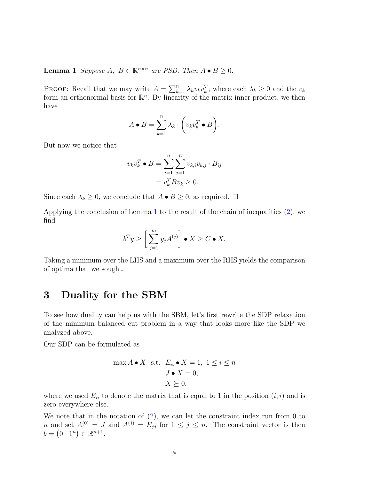<span id="page-3-0"></span>**Lemma 1** Suppose A,  $B \in \mathbb{R}^{n \times n}$  are PSD. Then  $A \bullet B \ge 0$ .

PROOF: Recall that we may write  $A = \sum_{k=1}^{n} \lambda_k v_k v_k^T$ , where each  $\lambda_k \geq 0$  and the  $v_k$ form an orthonormal basis for  $\mathbb{R}^n$ . By linearity of the matrix inner product, we then have

$$
A \bullet B = \sum_{k=1}^{n} \lambda_k \cdot \left(v_k v_k^T \bullet B\right).
$$

But now we notice that

$$
v_k v_k^T \bullet B = \sum_{i=1}^n \sum_{j=1}^n v_{k,i} v_{k,j} \cdot B_{ij}
$$

$$
= v_k^T B v_k \ge 0.
$$

Since each  $\lambda_k \geq 0$ , we conclude that  $A \bullet B \geq 0$ , as required.  $\Box$ 

Applying the conclusion of Lemma [1](#page-3-0) to the result of the chain of inequalities [\(2\)](#page-1-0), we find

$$
b^T y \ge \left[ \sum_{j=1}^m y_j A^{(j)} \right] \bullet X \ge C \bullet X.
$$

Taking a minimum over the LHS and a maximum over the RHS yields the comparison of optima that we sought.

## <span id="page-3-1"></span>3 Duality for the SBM

To see how duality can help us with the SBM, let's first rewrite the SDP relaxation of the minimum balanced cut problem in a way that looks more like the SDP we analyzed above.

Our SDP can be formulated as

$$
\max A \bullet X \quad \text{s.t.} \quad E_{ii} \bullet X = 1, \ 1 \le i \le n
$$

$$
J \bullet X = 0,
$$

$$
X \succeq 0.
$$

where we used  $E_{ii}$  to denote the matrix that is equal to 1 in the position  $(i, i)$  and is zero everywhere else.

We note that in the notation of  $(2)$ , we can let the constraint index run from 0 to n and set  $A^{(0)} = J$  and  $A^{(j)} = E_{jj}$  for  $1 \le j \le n$ . The constraint vector is then  $b = (0 \ 1^n) \in \mathbb{R}^{n+1}.$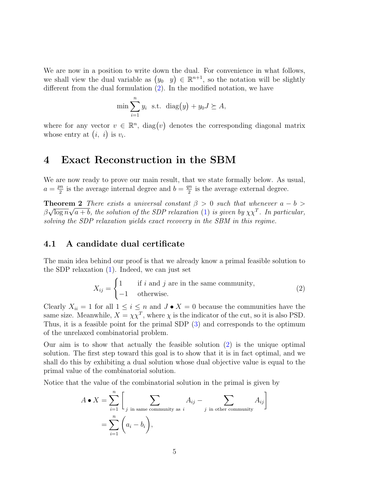We are now in a position to write down the dual. For convenience in what follows, we shall view the dual variable as  $(y_0, y) \in \mathbb{R}^{n+1}$ , so the notation will be slightly different from the dual formulation [\(2\)](#page-1-0). In the modified notation, we have

$$
\min \sum_{i=1}^{n} y_i \text{ s.t. } \text{diag}(y) + y_0 J \succeq A,
$$

where for any vector  $v \in \mathbb{R}^n$ , diag(v) denotes the corresponding diagonal matrix whose entry at  $(i, i)$  is  $v_i$ .

#### 4 Exact Reconstruction in the SBM

We are now ready to prove our main result, that we state formally below. As usual,  $a = \frac{pn}{2}$  $\frac{m}{2}$  is the average internal degree and  $b = \frac{qn}{2}$  $\frac{m}{2}$  is the average external degree.

**Theorem 2** There exists a universal constant  $\beta > 0$  such that whenever  $a - b > 0$  $\beta\sqrt{\log n}\sqrt{a+b}$ , the solution of the SDP relaxation [\(1\)](#page-0-0) is given by  $\chi\chi^T$ . In particular, solving the SDP relaxation yields exact recovery in the SBM in this regime.

#### 4.1 A candidate dual certificate

The main idea behind our proof is that we already know a primal feasible solution to the SDP relaxation  $(1)$ . Indeed, we can just set

<span id="page-4-0"></span>
$$
X_{ij} = \begin{cases} 1 & \text{if } i \text{ and } j \text{ are in the same community,} \\ -1 & \text{otherwise.} \end{cases}
$$
 (2)

Clearly  $X_{ii} = 1$  for all  $1 \leq i \leq n$  and  $J \bullet X = 0$  because the communities have the same size. Meanwhile,  $X = \chi \chi^T$ , where  $\chi$  is the indicator of the cut, so it is also PSD. Thus, it is a feasible point for the primal SDP [\(3\)](#page-3-1) and corresponds to the optimum of the unrelaxed combinatorial problem.

Our aim is to show that actually the feasible solution [\(2\)](#page-4-0) is the unique optimal solution. The first step toward this goal is to show that it is in fact optimal, and we shall do this by exhibiting a dual solution whose dual objective value is equal to the primal value of the combinatorial solution.

Notice that the value of the combinatorial solution in the primal is given by

$$
A \bullet X = \sum_{i=1}^{n} \left[ \sum_{j \text{ in same community as } i} A_{ij} - \sum_{j \text{ in other community}} A_{ij} \right]
$$
  
= 
$$
\sum_{i=1}^{n} \left( a_i - b_i \right),
$$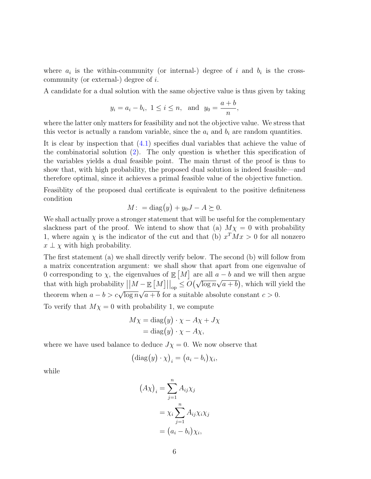where  $a_i$  is the within-community (or internal-) degree of i and  $b_i$  is the crosscommunity (or external-) degree of i.

A candidate for a dual solution with the same objective value is thus given by taking

$$
y_i = a_i - b_i
$$
,  $1 \le i \le n$ , and  $y_0 = \frac{a+b}{n}$ ,

where the latter only matters for feasibility and not the objective value. We stress that this vector is actually a random variable, since the  $a_i$  and  $b_i$  are random quantities.

It is clear by inspection that [\(4.1\)](#page-4-0) specifies dual variables that achieve the value of the combinatorial solution  $(2)$ . The only question is whether this specification of the variables yields a dual feasible point. The main thrust of the proof is thus to show that, with high probability, the proposed dual solution is indeed feasible—and therefore optimal, since it achieves a primal feasible value of the objective function.

Feasiblity of the proposed dual certificate is equivalent to the positive definiteness condition

$$
M: = \text{diag}(y) + y_0 J - A \succeq 0.
$$

We shall actually prove a stronger statement that will be useful for the complementary slackness part of the proof. We intend to show that (a)  $M\chi = 0$  with probability 1, where again  $\chi$  is the indicator of the cut and that (b)  $x^T M x > 0$  for all nonzero  $x \perp \chi$  with high probability.

The first statement (a) we shall directly verify below. The second (b) will follow from a matrix concentration argument: we shall show that apart from one eigenvalue of 0 corresponding to  $\chi$ , the eigenvalues of  $\mathbb{E}[M]$  are all  $a - b$  and we will then argue that with high probability  $||M - \mathbb{E}[M]||_{op} \leq O(\sqrt{\log n}\sqrt{a+b})$ , which will yield the theorem when  $a - b > c\sqrt{\log n}\sqrt{a+b}$  for a suitable absolute constant  $c > 0$ . √

To verify that  $M\chi = 0$  with probability 1, we compute

$$
M\chi = \text{diag}(y) \cdot \chi - A\chi + J\chi
$$

$$
= \text{diag}(y) \cdot \chi - A\chi,
$$

where we have used balance to deduce  $J\chi = 0$ . We now observe that

 $\overline{\phantom{a}}$ 

$$
(\mathrm{diag}(y)\cdot \chi)_i = (a_i - b_i)\chi_i,
$$

while

$$
(A\chi)_i = \sum_{j=1}^n A_{ij} \chi_j
$$
  
=  $\chi_i \sum_{j=1}^n A_{ij} \chi_i \chi_j$   
=  $(a_i - b_i) \chi_i$ ,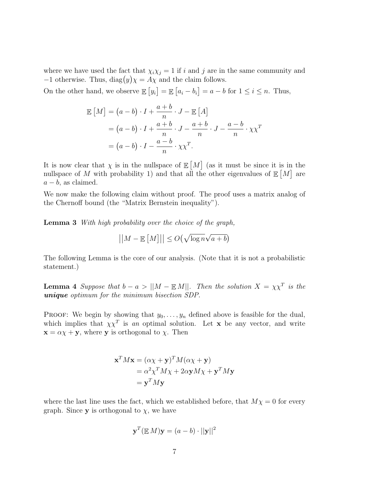where we have used the fact that  $\chi_i \chi_j = 1$  if i and j are in the same community and  $-1$  otherwise. Thus, diag $(y)\chi = A\chi$  and the claim follows.

On the other hand, we observe  $\mathbb{E}[y_i] = \mathbb{E}[a_i - b_i] = a - b$  for  $1 \le i \le n$ . Thus,

$$
\mathbb{E}\left[M\right] = (a - b) \cdot I + \frac{a + b}{n} \cdot J - \mathbb{E}\left[A\right]
$$

$$
= (a - b) \cdot I + \frac{a + b}{n} \cdot J - \frac{a + b}{n} \cdot J - \frac{a - b}{n} \cdot \chi \chi^{T}
$$

$$
= (a - b) \cdot I - \frac{a - b}{n} \cdot \chi \chi^{T}.
$$

It is now clear that  $\chi$  is in the nullspace of  $\mathbb{E}[M]$  (as it must be since it is in the nullspace of M with probability 1) and that all the other eigenvalues of  $\mathbb{E}[M]$  are  $a - b$ , as claimed.

We now make the following claim without proof. The proof uses a matrix analog of the Chernoff bound (the "Matrix Bernstein inequality").

Lemma 3 With high probability over the choice of the graph,

$$
||M - \mathbb{E}[M]|| \le O(\sqrt{\log n} \sqrt{a+b})
$$

The following Lemma is the core of our analysis. (Note that it is not a probabilistic statement.)

**Lemma 4** Suppose that  $b - a > ||M - \mathbb{E}[M||]$ . Then the solution  $X = \chi \chi^T$  is the unique optimum for the minimum bisection SDP.

PROOF: We begin by showing that  $y_0, \ldots, y_n$  defined above is feasible for the dual, which implies that  $\chi \chi^T$  is an optimal solution. Let x be any vector, and write  $\mathbf{x} = \alpha \chi + \mathbf{y}$ , where **y** is orthogonal to  $\chi$ . Then

$$
\mathbf{x}^T M \mathbf{x} = (\alpha \chi + \mathbf{y})^T M (\alpha \chi + \mathbf{y})
$$
  
=  $\alpha^2 \chi^T M \chi + 2\alpha \mathbf{y} M \chi + \mathbf{y}^T M \mathbf{y}$   
=  $\mathbf{y}^T M \mathbf{y}$ 

where the last line uses the fact, which we established before, that  $M\chi = 0$  for every graph. Since **y** is orthogonal to  $\chi$ , we have

$$
\mathbf{y}^T(\mathbb{E} M)\mathbf{y} = (a - b) \cdot ||\mathbf{y}||^2
$$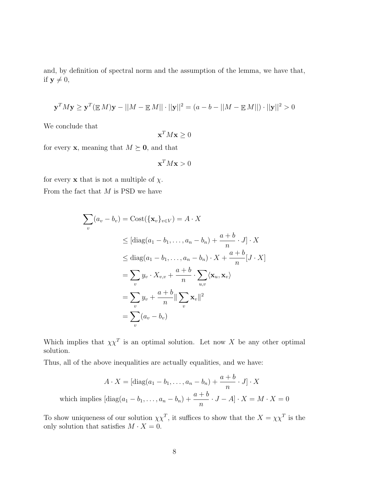and, by definition of spectral norm and the assumption of the lemma, we have that, if  $y \neq 0$ ,

$$
\mathbf{y}^T M \mathbf{y} \ge \mathbf{y}^T (\mathbb{E} M) \mathbf{y} - ||M - \mathbb{E} M|| \cdot ||\mathbf{y}||^2 = (a - b - ||M - \mathbb{E} M||) \cdot ||\mathbf{y}||^2 > 0
$$

We conclude that

$$
\mathbf{x}^T M \mathbf{x} \ge 0
$$

for every **x**, meaning that  $M \succeq \mathbf{0}$ , and that

$$
\mathbf{x}^T M \mathbf{x} > 0
$$

for every **x** that is not a multiple of  $\chi$ . From the fact that  $M$  is PSD we have

$$
\sum_{v} (a_v - b_v) = \text{Cost}(\{\mathbf{x}_v\}_{v \in V}) = A \cdot X
$$
\n
$$
\leq [\text{diag}(a_1 - b_1, \dots, a_n - b_n) + \frac{a+b}{n} \cdot J] \cdot X
$$
\n
$$
\leq \text{diag}(a_1 - b_1, \dots, a_n - b_n) \cdot X + \frac{a+b}{n} [J \cdot X]
$$
\n
$$
= \sum_{v} y_v \cdot X_{v,v} + \frac{a+b}{n} \cdot \sum_{u,v} \langle \mathbf{x}_u, \mathbf{x}_v \rangle
$$
\n
$$
= \sum_{v} y_v + \frac{a+b}{n} ||\sum_{v} \mathbf{x}_v||^2
$$
\n
$$
= \sum_{v} (a_v - b_v)
$$

Which implies that  $\chi \chi^T$  is an optimal solution. Let now X be any other optimal solution.

Thus, all of the above inequalities are actually equalities, and we have:

$$
A \cdot X = [\text{diag}(a_1 - b_1, \dots, a_n - b_n) + \frac{a+b}{n} \cdot J] \cdot X
$$
  
which implies  $[\text{diag}(a_1 - b_1, \dots, a_n - b_n) + \frac{a+b}{n} \cdot J - A] \cdot X = M \cdot X = 0$ 

To show uniqueness of our solution  $\chi \chi^T$ , it suffices to show that the  $X = \chi \chi^T$  is the only solution that satisfies  $M \cdot X = 0$ .